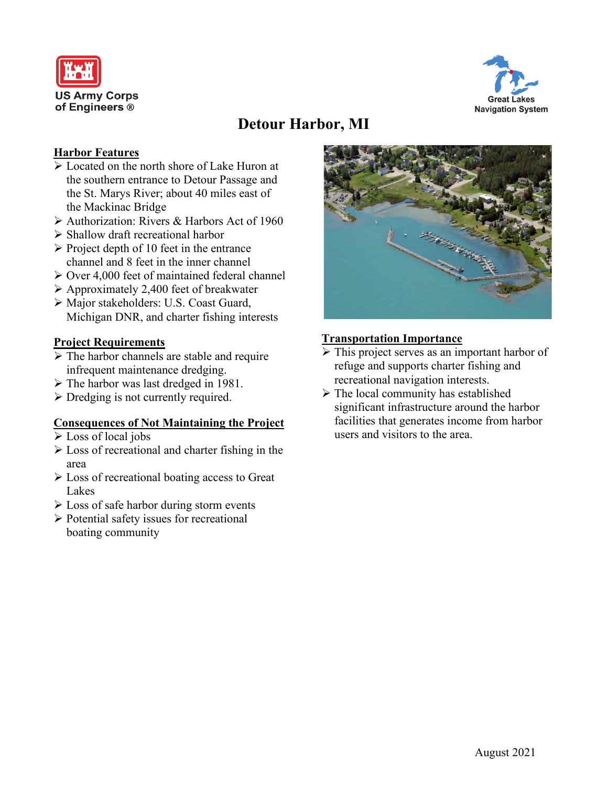



# **Detour Harbor, MI**

# **Harbor Features**

- $\sqrt{\phantom{a}}$  Located on the north shore of Lake Huron at the southern entrance to Detour Passage and the St. Marys River; about 40 miles east of the Mackinac Bridge
- $\triangleright$  Authorization: Rivers & Harbors Act of 1960
- $\triangleright$  Shallow draft recreational harbor
- $\triangleright$  Project depth of 10 feet in the entrance channel and 8 feet in the inner channel
- $\geq$  Over 4,000 feet of maintained federal channel
- Approximately 2,400 feet of breakwater
- Major stakeholders: U.S. Coast Guard, Michigan DNR, and charter fishing interests

## **Project Requirements**

- $\triangleright$  The harbor channels are stable and require infrequent maintenance dredging.
- $\triangleright$  The harbor was last dredged in 1981.
- $\triangleright$  Dredging is not currently required.

#### **Consequences of Not Maintaining the Project**

- Loss of local jobs
- Loss of recreational and charter fishing in the area
- $\triangleright$  Loss of recreational boating access to Great Lakes
- $\triangleright$  Loss of safe harbor during storm events
- $\triangleright$  Potential safety issues for recreational boating community



## **Transportation Importance**

- $\triangleright$  This project serves as an important harbor of refuge and supports charter fishing and recreational navigation interests.
- $\triangleright$  The local community has established significant infrastructure around the harbor facilities that generates income from harbor users and visitors to the area.